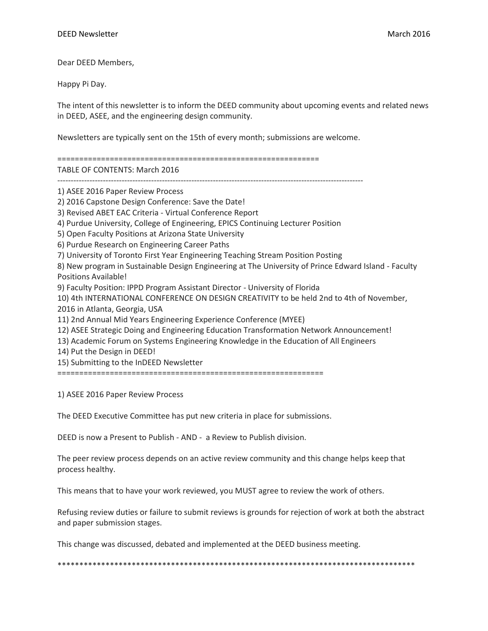Dear DEED Members,

Happy Pi Day.

The intent of this newsletter is to inform the DEED community about upcoming events and related news in DEED, ASEE, and the engineering design community.

Newsletters are typically sent on the 15th of every month; submissions are welcome.

============================================================

TABLE OF CONTENTS: March 2016

------------------------------------------------------------------------------------------------------------------

1) ASEE 2016 Paper Review Process

2) 2016 Capstone Design Conference: Save the Date!

3) Revised ABET EAC Criteria - Virtual Conference Report

4) Purdue University, College of Engineering, EPICS Continuing Lecturer Position

5) Open Faculty Positions at Arizona State University

6) Purdue Research on Engineering Career Paths

7) University of Toronto First Year Engineering Teaching Stream Position Posting

8) New program in Sustainable Design Engineering at The University of Prince Edward Island - Faculty Positions Available!

9) Faculty Position: IPPD Program Assistant Director - University of Florida

10) 4th INTERNATIONAL CONFERENCE ON DESIGN CREATIVITY to be held 2nd to 4th of November, 2016 in Atlanta, Georgia, USA

11) 2nd Annual Mid Years Engineering Experience Conference (MYEE)

12) ASEE Strategic Doing and Engineering Education Transformation Network Announcement!

13) Academic Forum on Systems Engineering Knowledge in the Education of All Engineers

14) Put the Design in DEED!

15) Submitting to the InDEED Newsletter

=============================================================

1) ASEE 2016 Paper Review Process

The DEED Executive Committee has put new criteria in place for submissions.

DEED is now a Present to Publish - AND - a Review to Publish division.

The peer review process depends on an active review community and this change helps keep that process healthy.

This means that to have your work reviewed, you MUST agree to review the work of others.

Refusing review duties or failure to submit reviews is grounds for rejection of work at both the abstract and paper submission stages.

This change was discussed, debated and implemented at the DEED business meeting.

\*\*\*\*\*\*\*\*\*\*\*\*\*\*\*\*\*\*\*\*\*\*\*\*\*\*\*\*\*\*\*\*\*\*\*\*\*\*\*\*\*\*\*\*\*\*\*\*\*\*\*\*\*\*\*\*\*\*\*\*\*\*\*\*\*\*\*\*\*\*\*\*\*\*\*\*\*\*\*\*\*\*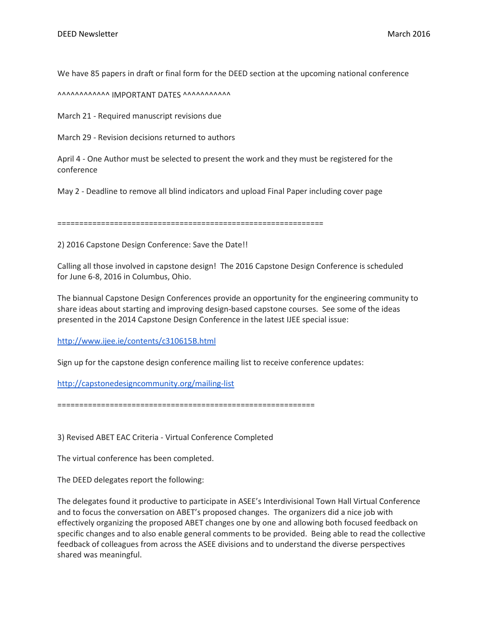We have 85 papers in draft or final form for the DEED section at the upcoming national conference

AAAAAAAAAAAA IMPORTANT DATES AAAAAAAAAAA

March 21 - Required manuscript revisions due

March 29 - Revision decisions returned to authors

April 4 - One Author must be selected to present the work and they must be registered for the conference

May 2 - Deadline to remove all blind indicators and upload Final Paper including cover page

=============================================================

2) 2016 Capstone Design Conference: Save the Date!!

Calling all those involved in capstone design! The 2016 Capstone Design Conference is scheduled for June 6-8, 2016 in Columbus, Ohio.

The biannual Capstone Design Conferences provide an opportunity for the engineering community to share ideas about starting and improving design-based capstone courses. See some of the ideas presented in the 2014 Capstone Design Conference in the latest IJEE special issue:

<http://www.ijee.ie/contents/c310615B.html>

Sign up for the capstone design conference mailing list to receive conference updates:

<http://capstonedesigncommunity.org/mailing-list>

===========================================================

3) Revised ABET EAC Criteria - Virtual Conference Completed

The virtual conference has been completed.

The DEED delegates report the following:

The delegates found it productive to participate in ASEE's Interdivisional Town Hall Virtual Conference and to focus the conversation on ABET's proposed changes. The organizers did a nice job with effectively organizing the proposed ABET changes one by one and allowing both focused feedback on specific changes and to also enable general comments to be provided. Being able to read the collective feedback of colleagues from across the ASEE divisions and to understand the diverse perspectives shared was meaningful.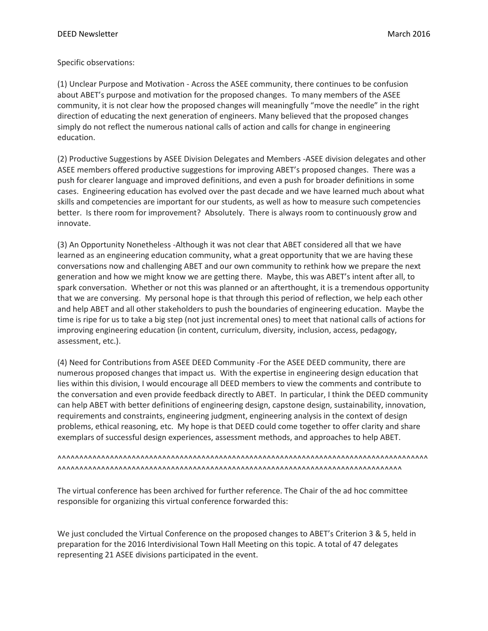#### Specific observations:

(1) Unclear Purpose and Motivation - Across the ASEE community, there continues to be confusion about ABET's purpose and motivation for the proposed changes. To many members of the ASEE community, it is not clear how the proposed changes will meaningfully "move the needle" in the right direction of educating the next generation of engineers. Many believed that the proposed changes simply do not reflect the numerous national calls of action and calls for change in engineering education.

(2) Productive Suggestions by ASEE Division Delegates and Members -ASEE division delegates and other ASEE members offered productive suggestions for improving ABET's proposed changes. There was a push for clearer language and improved definitions, and even a push for broader definitions in some cases. Engineering education has evolved over the past decade and we have learned much about what skills and competencies are important for our students, as well as how to measure such competencies better. Is there room for improvement? Absolutely. There is always room to continuously grow and innovate.

(3) An Opportunity Nonetheless -Although it was not clear that ABET considered all that we have learned as an engineering education community, what a great opportunity that we are having these conversations now and challenging ABET and our own community to rethink how we prepare the next generation and how we might know we are getting there. Maybe, this was ABET's intent after all, to spark conversation. Whether or not this was planned or an afterthought, it is a tremendous opportunity that we are conversing. My personal hope is that through this period of reflection, we help each other and help ABET and all other stakeholders to push the boundaries of engineering education. Maybe the time is ripe for us to take a big step (not just incremental ones) to meet that national calls of actions for improving engineering education (in content, curriculum, diversity, inclusion, access, pedagogy, assessment, etc.).

(4) Need for Contributions from ASEE DEED Community -For the ASEE DEED community, there are numerous proposed changes that impact us. With the expertise in engineering design education that lies within this division, I would encourage all DEED members to view the comments and contribute to the conversation and even provide feedback directly to ABET. In particular, I think the DEED community can help ABET with better definitions of engineering design, capstone design, sustainability, innovation, requirements and constraints, engineering judgment, engineering analysis in the context of design problems, ethical reasoning, etc. My hope is that DEED could come together to offer clarity and share exemplars of successful design experiences, assessment methods, and approaches to help ABET.

^^^^^^^^^^^^^^^^^^^^^^^^^^^^^^^^^^^^^^^^^^^^^^^^^^^^^^^^^^^^^^^^^^^^^^^^^^^^^^^^^^^^^ ^^^^^^^^^^^^^^^^^^^^^^^^^^^^^^^^^^^^^^^^^^^^^^^^^^^^^^^^^^^^^^^^^^^^^^^^^^^^^^^

The virtual conference has been archived for further reference. The Chair of the ad hoc committee responsible for organizing this virtual conference forwarded this:

We just concluded the Virtual Conference on the proposed changes to ABET's Criterion 3 & 5, held in preparation for the 2016 Interdivisional Town Hall Meeting on this topic. A total of 47 delegates representing 21 ASEE divisions participated in the event.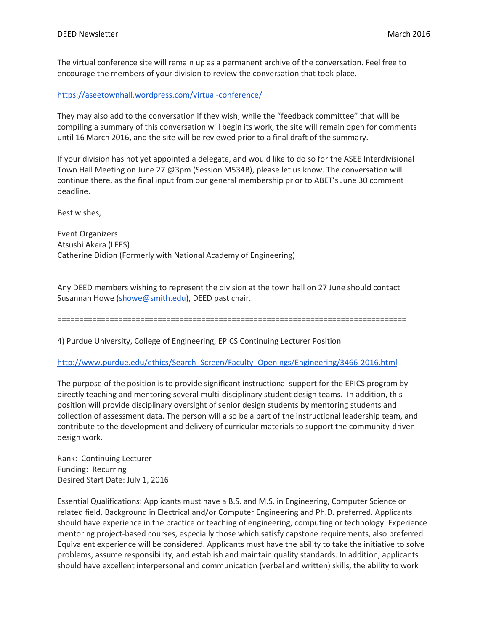The virtual conference site will remain up as a permanent archive of the conversation. Feel free to encourage the members of your division to review the conversation that took place.

<https://aseetownhall.wordpress.com/virtual-conference/>

They may also add to the conversation if they wish; while the "feedback committee" that will be compiling a summary of this conversation will begin its work, the site will remain open for comments until 16 March 2016, and the site will be reviewed prior to a final draft of the summary.

If your division has not yet appointed a delegate, and would like to do so for the ASEE Interdivisional Town Hall Meeting on June 27 @3pm (Session M534B), please let us know. The conversation will continue there, as the final input from our general membership prior to ABET's June 30 comment deadline.

Best wishes,

Event Organizers Atsushi Akera (LEES) Catherine Didion (Formerly with National Academy of Engineering)

Any DEED members wishing to represent the division at the town hall on 27 June should contact Susannah Howe [\(showe@smith.edu\)](mailto:showe@smith.edu), DEED past chair.

================================================================================

4) Purdue University, College of Engineering, EPICS Continuing Lecturer Position

[http://www.purdue.edu/ethics/Search\\_Screen/Faculty\\_Openings/Engineering/3466-2016.html](http://www.purdue.edu/ethics/Search_Screen/Faculty_Openings/Engineering/3466-2016.html)

The purpose of the position is to provide significant instructional support for the EPICS program by directly teaching and mentoring several multi-disciplinary student design teams. In addition, this position will provide disciplinary oversight of senior design students by mentoring students and collection of assessment data. The person will also be a part of the instructional leadership team, and contribute to the development and delivery of curricular materials to support the community-driven design work.

Rank: Continuing Lecturer Funding: Recurring Desired Start Date: July 1, 2016

Essential Qualifications: Applicants must have a B.S. and M.S. in Engineering, Computer Science or related field. Background in Electrical and/or Computer Engineering and Ph.D. preferred. Applicants should have experience in the practice or teaching of engineering, computing or technology. Experience mentoring project-based courses, especially those which satisfy capstone requirements, also preferred. Equivalent experience will be considered. Applicants must have the ability to take the initiative to solve problems, assume responsibility, and establish and maintain quality standards. In addition, applicants should have excellent interpersonal and communication (verbal and written) skills, the ability to work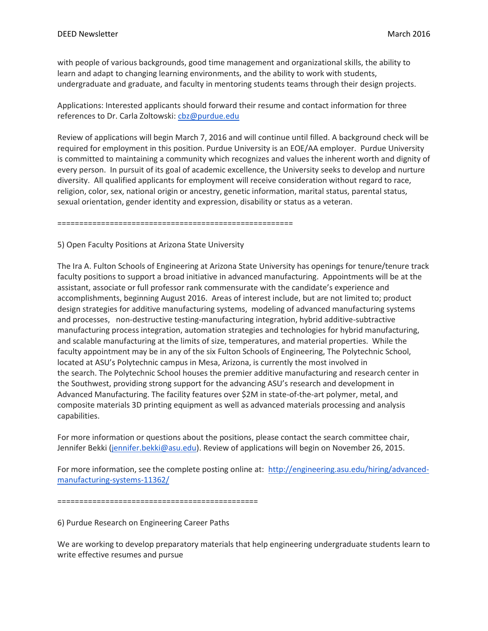with people of various backgrounds, good time management and organizational skills, the ability to learn and adapt to changing learning environments, and the ability to work with students, undergraduate and graduate, and faculty in mentoring students teams through their design projects.

Applications: Interested applicants should forward their resume and contact information for three references to Dr. Carla Zoltowski: [cbz@purdue.edu](mailto:cbz@purdue.edu)

Review of applications will begin March 7, 2016 and will continue until filled. A background check will be required for employment in this position. Purdue University is an EOE/AA employer. Purdue University is committed to maintaining a community which recognizes and values the inherent worth and dignity of every person. In pursuit of its goal of academic excellence, the University seeks to develop and nurture diversity. All qualified applicants for employment will receive consideration without regard to race, religion, color, sex, national origin or ancestry, genetic information, marital status, parental status, sexual orientation, gender identity and expression, disability or status as a veteran.

======================================================

## 5) Open Faculty Positions at Arizona State University

The Ira A. Fulton Schools of Engineering at Arizona State University has openings for tenure/tenure track faculty positions to support a broad initiative in advanced manufacturing. Appointments will be at the assistant, associate or full professor rank commensurate with the candidate's experience and accomplishments, beginning August 2016. Areas of interest include, but are not limited to; product design strategies for additive manufacturing systems, modeling of advanced manufacturing systems and processes, non-destructive testing-manufacturing integration, hybrid additive-subtractive manufacturing process integration, automation strategies and technologies for hybrid manufacturing, and scalable manufacturing at the limits of size, temperatures, and material properties. While the faculty appointment may be in any of the six Fulton Schools of Engineering, The Polytechnic School, located at ASU's Polytechnic campus in Mesa, Arizona, is currently the most involved in the search. The Polytechnic School houses the premier additive manufacturing and research center in the Southwest, providing strong support for the advancing ASU's research and development in Advanced Manufacturing. The facility features over \$2M in state-of-the-art polymer, metal, and composite materials 3D printing equipment as well as advanced materials processing and analysis capabilities.

For more information or questions about the positions, please contact the search committee chair, Jennifer Bekki [\(jennifer.bekki@asu.edu\)](mailto:jennifer.bekki@asu.edu). Review of applications will begin on November 26, 2015.

For more information, see the complete posting online at: [http://engineering.asu.edu/hiring/advanced](http://engineering.asu.edu/hiring/advanced-manufacturing-systems-11362/)[manufacturing-systems-11362/](http://engineering.asu.edu/hiring/advanced-manufacturing-systems-11362/)

==============================================

6) Purdue Research on Engineering Career Paths

We are working to develop preparatory materials that help engineering undergraduate students learn to write effective resumes and pursue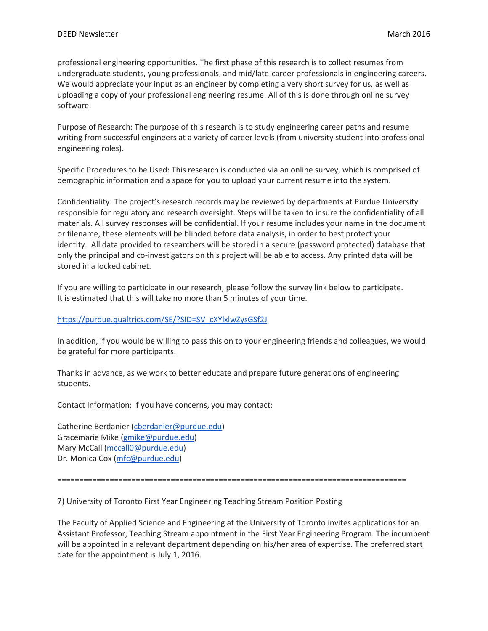professional engineering opportunities. The first phase of this research is to collect resumes from undergraduate students, young professionals, and mid/late-career professionals in engineering careers. We would appreciate your input as an engineer by completing a very short survey for us, as well as uploading a copy of your professional engineering resume. All of this is done through online survey software.

Purpose of Research: The purpose of this research is to study engineering career paths and resume writing from successful engineers at a variety of career levels (from university student into professional engineering roles).

Specific Procedures to be Used: This research is conducted via an online survey, which is comprised of demographic information and a space for you to upload your current resume into the system.

Confidentiality: The project's research records may be reviewed by departments at Purdue University responsible for regulatory and research oversight. Steps will be taken to insure the confidentiality of all materials. All survey responses will be confidential. If your resume includes your name in the document or filename, these elements will be blinded before data analysis, in order to best protect your identity. All data provided to researchers will be stored in a secure (password protected) database that only the principal and co-investigators on this project will be able to access. Any printed data will be stored in a locked cabinet.

If you are willing to participate in our research, please follow the survey link below to participate. It is estimated that this will take no more than 5 minutes of your time.

## [https://purdue.qualtrics.com/SE/?SID=SV\\_cXYlxlwZysGSf2J](https://purdue.qualtrics.com/SE/?SID=SV_cXYlxlwZysGSf2J)

In addition, if you would be willing to pass this on to your engineering friends and colleagues, we would be grateful for more participants.

Thanks in advance, as we work to better educate and prepare future generations of engineering students.

Contact Information: If you have concerns, you may contact:

Catherine Berdanier [\(cberdanier@purdue.edu\)](mailto:cberdanier@purdue.edu) Gracemarie Mike [\(gmike@purdue.edu\)](mailto:gmike@purdue.edu) Mary McCall [\(mccall0@purdue.edu\)](mailto:mccall0@purdue.edu) Dr. Monica Cox [\(mfc@purdue.edu\)](mailto:mfc@purdue.edu)

================================================================================

7) University of Toronto First Year Engineering Teaching Stream Position Posting

The Faculty of Applied Science and Engineering at the University of Toronto invites applications for an Assistant Professor, Teaching Stream appointment in the First Year Engineering Program. The incumbent will be appointed in a relevant department depending on his/her area of expertise. The preferred start date for the appointment is July 1, 2016.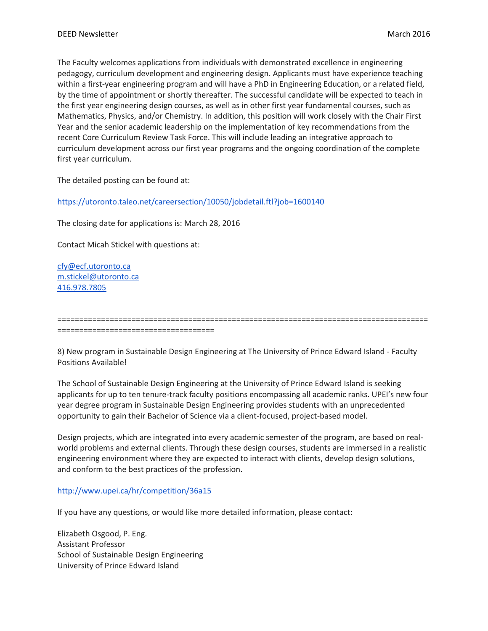The Faculty welcomes applications from individuals with demonstrated excellence in engineering pedagogy, curriculum development and engineering design. Applicants must have experience teaching within a first-year engineering program and will have a PhD in Engineering Education, or a related field, by the time of appointment or shortly thereafter. The successful candidate will be expected to teach in the first year engineering design courses, as well as in other first year fundamental courses, such as Mathematics, Physics, and/or Chemistry. In addition, this position will work closely with the Chair First Year and the senior academic leadership on the implementation of key recommendations from the recent Core Curriculum Review Task Force. This will include leading an integrative approach to curriculum development across our first year programs and the ongoing coordination of the complete first year curriculum.

The detailed posting can be found at:

<https://utoronto.taleo.net/careersection/10050/jobdetail.ftl?job=1600140>

The closing date for applications is: March 28, 2016

Contact Micah Stickel with questions at:

[cfy@ecf.utoronto.ca](mailto:cfy@ecf.utoronto.ca) [m.stickel@utoronto.ca](mailto:m.stickel@utoronto.ca) [416.978.7805](tel:416.978.7805)

====================================

8) New program in Sustainable Design Engineering at The University of Prince Edward Island - Faculty Positions Available!

=====================================================================================

The School of Sustainable Design Engineering at the University of Prince Edward Island is seeking applicants for up to ten tenure-track faculty positions encompassing all academic ranks. UPEI's new four year degree program in Sustainable Design Engineering provides students with an unprecedented opportunity to gain their Bachelor of Science via a client-focused, project-based model.

Design projects, which are integrated into every academic semester of the program, are based on realworld problems and external clients. Through these design courses, students are immersed in a realistic engineering environment where they are expected to interact with clients, develop design solutions, and conform to the best practices of the profession.

# <http://www.upei.ca/hr/competition/36a15>

If you have any questions, or would like more detailed information, please contact:

Elizabeth Osgood, P. Eng. Assistant Professor School of Sustainable Design Engineering University of Prince Edward Island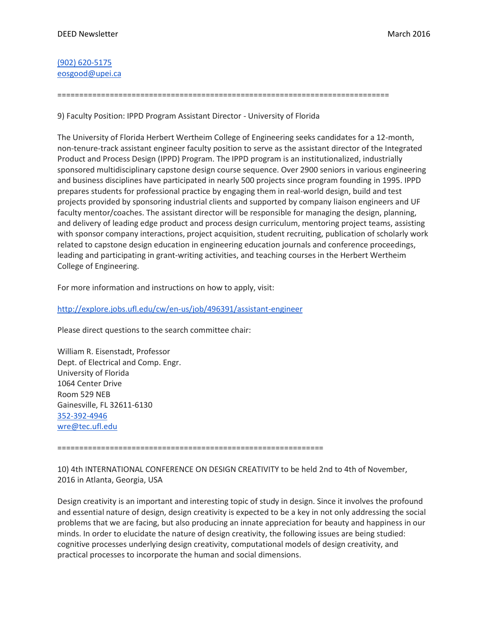[\(902\) 620-5175](tel:%28902%29%20620-5175) [eosgood@upei.ca](mailto:eosgood@upei.ca)

============================================================================

9) Faculty Position: IPPD Program Assistant Director - University of Florida

The University of Florida Herbert Wertheim College of Engineering seeks candidates for a 12-month, non-tenure-track assistant engineer faculty position to serve as the assistant director of the Integrated Product and Process Design (IPPD) Program. The IPPD program is an institutionalized, industrially sponsored multidisciplinary capstone design course sequence. Over 2900 seniors in various engineering and business disciplines have participated in nearly 500 projects since program founding in 1995. IPPD prepares students for professional practice by engaging them in real-world design, build and test projects provided by sponsoring industrial clients and supported by company liaison engineers and UF faculty mentor/coaches. The assistant director will be responsible for managing the design, planning, and delivery of leading edge product and process design curriculum, mentoring project teams, assisting with sponsor company interactions, project acquisition, student recruiting, publication of scholarly work related to capstone design education in engineering education journals and conference proceedings, leading and participating in grant-writing activities, and teaching courses in the Herbert Wertheim College of Engineering.

For more information and instructions on how to apply, visit:

## <http://explore.jobs.ufl.edu/cw/en-us/job/496391/assistant-engineer>

Please direct questions to the search committee chair:

William R. Eisenstadt, Professor Dept. of Electrical and Comp. Engr. University of Florida 1064 Center Drive Room 529 NEB Gainesville, FL 32611-6130 [352-392-4946](tel:352-392-4946) [wre@tec.ufl.edu](mailto:wre@tec.ufl.edu)

=============================================================

10) 4th INTERNATIONAL CONFERENCE ON DESIGN CREATIVITY to be held 2nd to 4th of November, 2016 in Atlanta, Georgia, USA

Design creativity is an important and interesting topic of study in design. Since it involves the profound and essential nature of design, design creativity is expected to be a key in not only addressing the social problems that we are facing, but also producing an innate appreciation for beauty and happiness in our minds. In order to elucidate the nature of design creativity, the following issues are being studied: cognitive processes underlying design creativity, computational models of design creativity, and practical processes to incorporate the human and social dimensions.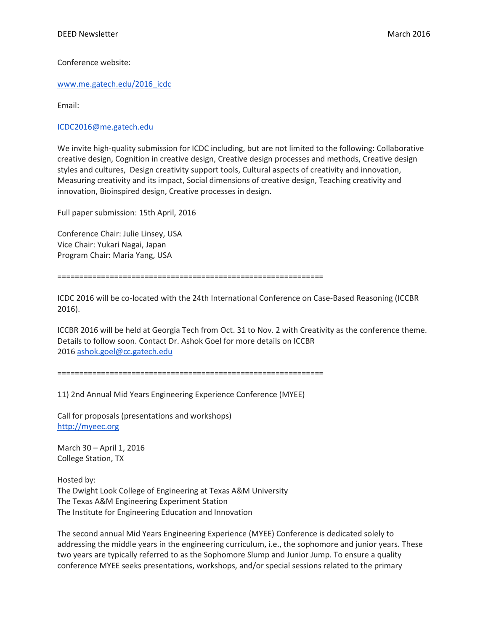Conference website:

[www.me.gatech.edu/2016\\_icdc](http://www.me.gatech.edu/2016_icdc)

Email:

[ICDC2016@me.gatech.edu](mailto:ICDC2016@me.gatech.edu)

We invite high-quality submission for ICDC including, but are not limited to the following: Collaborative creative design, Cognition in creative design, Creative design processes and methods, Creative design styles and cultures, Design creativity support tools, Cultural aspects of creativity and innovation, Measuring creativity and its impact, Social dimensions of creative design, Teaching creativity and innovation, Bioinspired design, Creative processes in design.

Full paper submission: 15th April, 2016

Conference Chair: Julie Linsey, USA Vice Chair: Yukari Nagai, Japan Program Chair: Maria Yang, USA

=============================================================

ICDC 2016 will be co-located with the 24th International Conference on Case-Based Reasoning (ICCBR 2016).

ICCBR 2016 will be held at Georgia Tech from Oct. 31 to Nov. 2 with Creativity as the conference theme. Details to follow soon. Contact Dr. Ashok Goel for more details on ICCBR 2016 [ashok.goel@cc.gatech.edu](mailto:ashok.goel@cc.gatech.edu)

=============================================================

11) 2nd Annual Mid Years Engineering Experience Conference (MYEE)

Call for proposals (presentations and workshops) [http://myeec.org](http://myeec.org/)

March 30 – April 1, 2016 College Station, TX

Hosted by: The Dwight Look College of Engineering at Texas A&M University The Texas A&M Engineering Experiment Station The Institute for Engineering Education and Innovation

The second annual Mid Years Engineering Experience (MYEE) Conference is dedicated solely to addressing the middle years in the engineering curriculum, i.e., the sophomore and junior years. These two years are typically referred to as the Sophomore Slump and Junior Jump. To ensure a quality conference MYEE seeks presentations, workshops, and/or special sessions related to the primary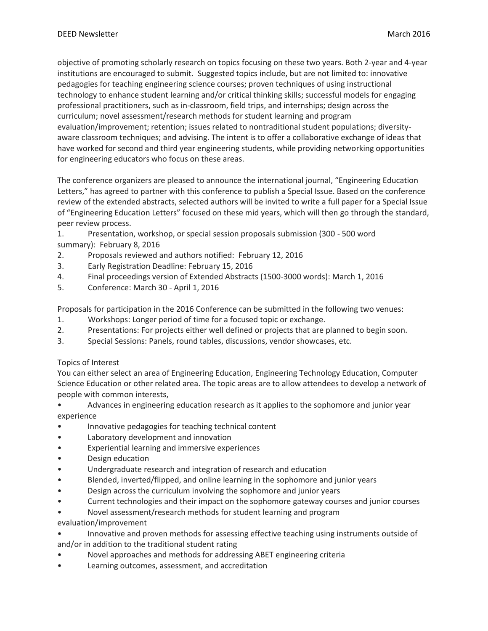objective of promoting scholarly research on topics focusing on these two years. Both 2-year and 4-year institutions are encouraged to submit. Suggested topics include, but are not limited to: innovative pedagogies for teaching engineering science courses; proven techniques of using instructional technology to enhance student learning and/or critical thinking skills; successful models for engaging professional practitioners, such as in-classroom, field trips, and internships; design across the curriculum; novel assessment/research methods for student learning and program evaluation/improvement; retention; issues related to nontraditional student populations; diversityaware classroom techniques; and advising. The intent is to offer a collaborative exchange of ideas that have worked for second and third year engineering students, while providing networking opportunities for engineering educators who focus on these areas.

The conference organizers are pleased to announce the international journal, "Engineering Education Letters," has agreed to partner with this conference to publish a Special Issue. Based on the conference review of the extended abstracts, selected authors will be invited to write a full paper for a Special Issue of "Engineering Education Letters" focused on these mid years, which will then go through the standard, peer review process.

- 1. Presentation, workshop, or special session proposals submission (300 500 word summary): February 8, 2016
- 2. Proposals reviewed and authors notified: February 12, 2016
- 3. Early Registration Deadline: February 15, 2016
- 4. Final proceedings version of Extended Abstracts (1500-3000 words): March 1, 2016
- 5. Conference: March 30 April 1, 2016

Proposals for participation in the 2016 Conference can be submitted in the following two venues:

- 1. Workshops: Longer period of time for a focused topic or exchange.
- 2. Presentations: For projects either well defined or projects that are planned to begin soon.
- 3. Special Sessions: Panels, round tables, discussions, vendor showcases, etc.

## Topics of Interest

You can either select an area of Engineering Education, Engineering Technology Education, Computer Science Education or other related area. The topic areas are to allow attendees to develop a network of people with common interests,

- Advances in engineering education research as it applies to the sophomore and junior year experience
- Innovative pedagogies for teaching technical content
- Laboratory development and innovation
- Experiential learning and immersive experiences
- Design education
- Undergraduate research and integration of research and education
- Blended, inverted/flipped, and online learning in the sophomore and junior years
- Design across the curriculum involving the sophomore and junior years
- Current technologies and their impact on the sophomore gateway courses and junior courses
- Novel assessment/research methods for student learning and program
- evaluation/improvement
- Innovative and proven methods for assessing effective teaching using instruments outside of and/or in addition to the traditional student rating
- Novel approaches and methods for addressing ABET engineering criteria
- Learning outcomes, assessment, and accreditation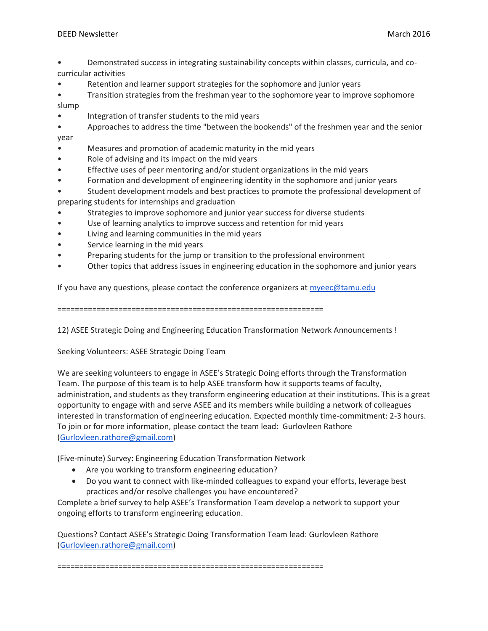- Demonstrated success in integrating sustainability concepts within classes, curricula, and cocurricular activities
- Retention and learner support strategies for the sophomore and junior years
- Transition strategies from the freshman year to the sophomore year to improve sophomore slump
- Integration of transfer students to the mid years
- Approaches to address the time "between the bookends" of the freshmen year and the senior year
- Measures and promotion of academic maturity in the mid years
- Role of advising and its impact on the mid years
- Effective uses of peer mentoring and/or student organizations in the mid years
- Formation and development of engineering identity in the sophomore and junior years
- Student development models and best practices to promote the professional development of preparing students for internships and graduation
- Strategies to improve sophomore and junior year success for diverse students
- Use of learning analytics to improve success and retention for mid years
- Living and learning communities in the mid years
- Service learning in the mid years
- Preparing students for the jump or transition to the professional environment
- Other topics that address issues in engineering education in the sophomore and junior years

If you have any questions, please contact the conference organizers at [myeec@tamu.edu](mailto:myeec@tamu.edu)

=============================================================

12) ASEE Strategic Doing and Engineering Education Transformation Network Announcements !

Seeking Volunteers: ASEE Strategic Doing Team

We are seeking volunteers to engage in ASEE's Strategic Doing efforts through the Transformation Team. The purpose of this team is to help ASEE transform how it supports teams of faculty, administration, and students as they transform engineering education at their institutions. This is a great opportunity to engage with and serve ASEE and its members while building a network of colleagues interested in transformation of engineering education. Expected monthly time-commitment: 2-3 hours. To join or for more information, please contact the team lead: Gurlovleen Rathore [\(Gurlovleen.rathore@gmail.com\)](mailto:Gurlovleen.rathore@gmail.com)

(Five-minute) Survey: Engineering Education Transformation Network

- Are you working to transform engineering education?
- Do you want to connect with like-minded colleagues to expand your efforts, leverage best practices and/or resolve challenges you have encountered?

Complete a brief survey to help ASEE's Transformation Team develop a network to support your ongoing efforts to transform engineering education.

Questions? Contact ASEE's Strategic Doing Transformation Team lead: Gurlovleen Rathore [\(Gurlovleen.rathore@gmail.com\)](mailto:Gurlovleen.rathore@gmail.com)

=============================================================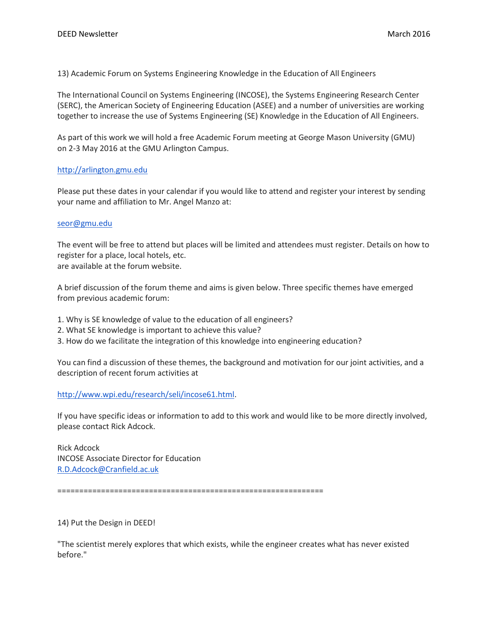13) Academic Forum on Systems Engineering Knowledge in the Education of All Engineers

The International Council on Systems Engineering (INCOSE), the Systems Engineering Research Center (SERC), the American Society of Engineering Education (ASEE) and a number of universities are working together to increase the use of Systems Engineering (SE) Knowledge in the Education of All Engineers.

As part of this work we will hold a free Academic Forum meeting at George Mason University (GMU) on 2-3 May 2016 at the GMU Arlington Campus.

## [http://arlington.gmu.edu](http://arlington.gmu.edu/)

Please put these dates in your calendar if you would like to attend and register your interest by sending your name and affiliation to Mr. Angel Manzo at:

#### [seor@gmu.edu](mailto:seor@gmu.edu)

The event will be free to attend but places will be limited and attendees must register. Details on how to register for a place, local hotels, etc. are available at the forum website.

A brief discussion of the forum theme and aims is given below. Three specific themes have emerged from previous academic forum:

1. Why is SE knowledge of value to the education of all engineers?

- 2. What SE knowledge is important to achieve this value?
- 3. How do we facilitate the integration of this knowledge into engineering education?

You can find a discussion of these themes, the background and motivation for our joint activities, and a description of recent forum activities at

[http://www.wpi.edu/research/seli/incose61.html.](http://www.wpi.edu/research/seli/incose61.html)

If you have specific ideas or information to add to this work and would like to be more directly involved, please contact Rick Adcock.

Rick Adcock INCOSE Associate Director for Education [R.D.Adcock@Cranfield.ac.uk](mailto:R.D.Adcock@Cranfield.ac.uk)

=============================================================

14) Put the Design in DEED!

"The scientist merely explores that which exists, while the engineer creates what has never existed before."